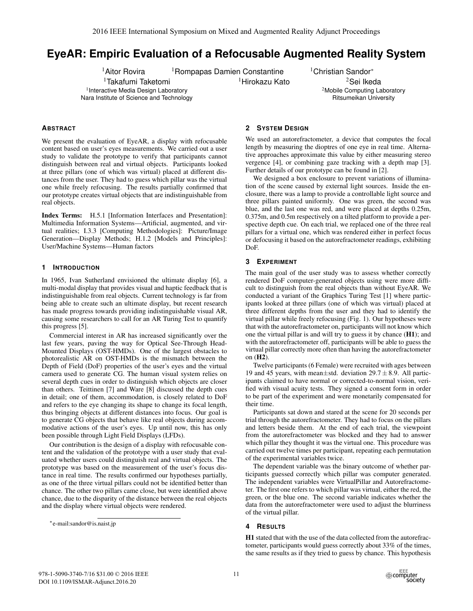# **EyeAR: Empiric Evaluation of a Refocusable Augmented Reality System**

<sup>1</sup>Takafumi Taketomi <sup>1</sup> Interactive Media Design Laboratory

Nara Institute of Science and Technology

<sup>1</sup>Aitor Rovira <sup>1</sup>Rompapas Damien Constantine <sup>1</sup>Christian Sandor<sup>∗</sup>

 $1$ Hirokazu Kato  $2$ Sei Ikeda <sup>2</sup>Mobile Computing Laboratory Ritsumeikan University

# **ABSTRACT**

We present the evaluation of EyeAR, a display with refocusable content based on user's eyes measurements. We carried out a user study to validate the prototype to verify that participants cannot distinguish between real and virtual objects. Participants looked at three pillars (one of which was virtual) placed at different distances from the user. They had to guess which pillar was the virtual one while freely refocusing. The results partially confirmed that our prototype creates virtual objects that are indistinguishable from real objects.

Index Terms: H.5.1 [Information Interfaces and Presentation]: Multimedia Information Systems—Artificial, augmented, and virtual realities; I.3.3 [Computing Methodologies]: Picture/Image Generation—Display Methods; H.1.2 [Models and Principles]: User/Machine Systems—Human factors

# **1 INTRODUCTION**

In 1965, Ivan Sutherland envisioned the ultimate display [6], a multi-modal display that provides visual and haptic feedback that is indistinguishable from real objects. Current technology is far from being able to create such an ultimate display, but recent research has made progress towards providing indistinguishable visual AR, causing some researchers to call for an AR Turing Test to quantify this progress [5].

Commercial interest in AR has increased significantly over the last few years, paving the way for Optical See-Through Head-Mounted Displays (OST-HMDs). One of the largest obstacles to photorealistic AR on OST-HMDs is the mismatch between the Depth of Field (DoF) properties of the user's eyes and the virtual camera used to generate CG. The human visual system relies on several depth cues in order to distinguish which objects are closer than others. Teittinen [7] and Ware [8] discussed the depth cues in detail; one of them, accommodation, is closely related to DoF and refers to the eye changing its shape to change its focal length, thus bringing objects at different distances into focus. Our goal is to generate CG objects that behave like real objects during accommodative actions of the user's eyes. Up until now, this has only been possible through Light Field Displays (LFDs).

Our contribution is the design of a display with refocusable content and the validation of the prototype with a user study that evaluated whether users could distinguish real and virtual objects. The prototype was based on the measurement of the user's focus distance in real time. The results confirmed our hypotheses partially, as one of the three virtual pillars could not be identified better than chance. The other two pillars came close, but were identified above chance, due to the disparity of the distance between the real objects and the display where virtual objects were rendered.

# **2 SYSTEM DESIGN**

We used an autorefractometer, a device that computes the focal length by measuring the dioptres of one eye in real time. Alternative approaches approximate this value by either measuring stereo vergence [4], or combining gaze tracking with a depth map [3]. Further details of our prototype can be found in [2].

We designed a box enclosure to prevent variations of illumination of the scene caused by external light sources. Inside the enclosure, there was a lamp to provide a controllable light source and three pillars painted uniformly. One was green, the second was blue, and the last one was red, and were placed at depths 0.25m, 0.375m, and 0.5m respectively on a tilted platform to provide a perspective depth cue. On each trial, we replaced one of the three real pillars for a virtual one, which was rendered either in perfect focus or defocusing it based on the autorefractometer readings, exhibiting DoF.

#### **3 EXPERIMENT**

The main goal of the user study was to assess whether correctly rendered DoF computer-generated objects using were more difficult to distinguish from the real objects than without EyeAR. We conducted a variant of the Graphics Turing Test [1] where participants looked at three pillars (one of which was virtual) placed at three different depths from the user and they had to identify the virtual pillar while freely refocusing (Fig. 1). Our hypotheses were that with the autorefractometer on, participants will not know which one the virtual pillar is and will try to guess it by chance  $(H1)$ ; and with the autorefractometer off, participants will be able to guess the virtual pillar correctly more often than having the autorefractometer on (H2).

Twelve participants (6 Female) were recruited with ages between 19 and 45 years, with mean $\pm$ std. deviation 29.7 $\pm$ 8.9. All participants claimed to have normal or corrected-to-normal vision, verified with visual acuity tests. They signed a consent form in order to be part of the experiment and were monetarily compensated for their time.

Participants sat down and stared at the scene for 20 seconds per trial through the autorefractometer. They had to focus on the pillars and letters beside them. At the end of each trial, the viewpoint from the autorefractometer was blocked and they had to answer which pillar they thought it was the virtual one. This procedure was carried out twelve times per participant, repeating each permutation of the experimental variables twice.

The dependent variable was the binary outcome of whether participants guessed correctly which pillar was computer generated. The independent variables were VirtualPillar and Autorefractometer. The first one refers to which pillar was virtual, either the red, the green, or the blue one. The second variable indicates whether the data from the autorefractometer were used to adjust the blurriness of the virtual pillar.

## **4 RESULTS**

H1 stated that with the use of the data collected from the autorefractometer, participants would guess correctly about 33% of the times, the same results as if they tried to guess by chance. This hypothesis



<sup>∗</sup>e-mail:sandor@is.naist.jp